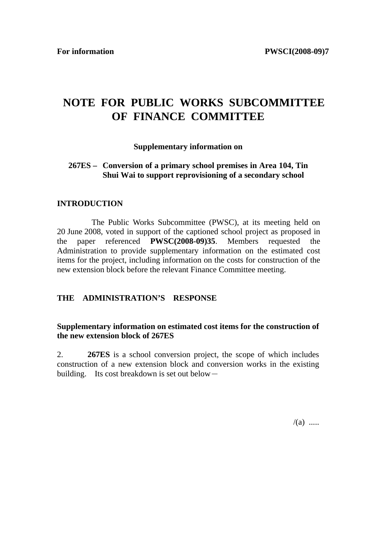# **NOTE FOR PUBLIC WORKS SUBCOMMITTEE OF FINANCE COMMITTEE**

### **Supplementary information on**

## **267ES – Conversion of a primary school premises in Area 104, Tin Shui Wai to support reprovisioning of a secondary school**

### **INTRODUCTION**

 The Public Works Subcommittee (PWSC), at its meeting held on 20 June 2008, voted in support of the captioned school project as proposed in the paper referenced **PWSC(2008-09)35**. Members requested the Administration to provide supplementary information on the estimated cost items for the project, including information on the costs for construction of the new extension block before the relevant Finance Committee meeting.

## **THE ADMINISTRATION'S RESPONSE**

## **Supplementary information on estimated cost items for the construction of the new extension block of 267ES**

2. **267ES** is a school conversion project, the scope of which includes construction of a new extension block and conversion works in the existing building. Its cost breakdown is set out below  $-$ 

 $/(a)$  .....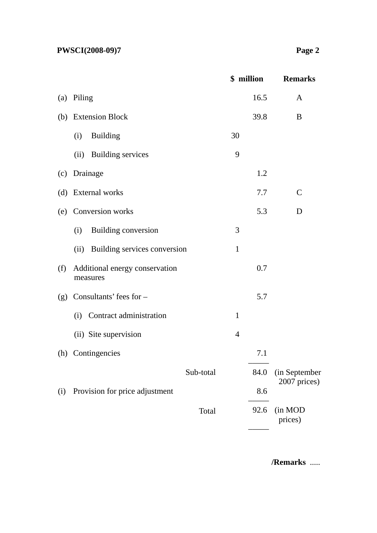|     |                                            |                | \$ million | <b>Remarks</b>     |
|-----|--------------------------------------------|----------------|------------|--------------------|
|     | (a) Piling                                 |                | 16.5       | A                  |
|     | (b) Extension Block                        |                | 39.8       | B                  |
|     | <b>Building</b><br>(i)                     | 30             |            |                    |
|     | (ii) Building services                     | 9              |            |                    |
| (c) | Drainage                                   |                | 1.2        |                    |
|     | (d) External works                         |                | 7.7        | $\mathbf C$        |
|     | (e) Conversion works                       |                | 5.3        | D                  |
|     | Building conversion<br>(i)                 | 3              |            |                    |
|     | (ii) Building services conversion          | $\mathbf{1}$   |            |                    |
| (f) | Additional energy conservation<br>measures |                | 0.7        |                    |
| (g) | Consultants' fees for -                    |                | 5.7        |                    |
|     | Contract administration<br>(i)             | $\mathbf{1}$   |            |                    |
|     | (ii) Site supervision                      | $\overline{4}$ |            |                    |
|     | (h) Contingencies                          |                | 7.1        |                    |
|     | Sub-total                                  |                | 84.0       | (in September      |
| (i) | Provision for price adjustment             |                | 8.6        | 2007 prices)       |
|     | Total                                      |                | 92.6       | (in MOD<br>prices) |

**/Remarks** .....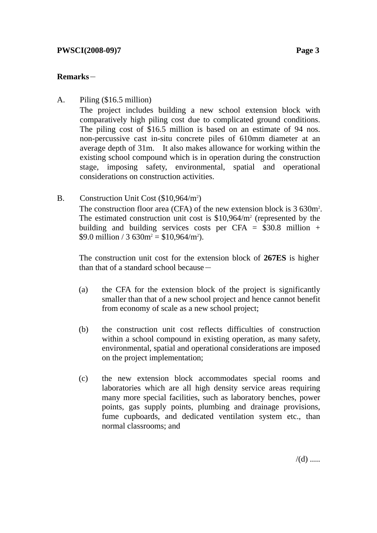# **Remarks**-

A. Piling (\$16.5 million)

The project includes building a new school extension block with comparatively high piling cost due to complicated ground conditions. The piling cost of \$16.5 million is based on an estimate of 94 nos. non-percussive cast in-situ concrete piles of 610mm diameter at an average depth of 31m. It also makes allowance for working within the existing school compound which is in operation during the construction stage, imposing safety, environmental, spatial and operational considerations on construction activities.

B. Construction Unit Cost  $($10,964/m^2)$ The construction floor area (CFA) of the new extension block is 3 630m<sup>2</sup>. The estimated construction unit cost is  $$10,964/m^2$  (represented by the building and building services costs per CFA =  $$30.8$  million + \$9.0 million / 3  $630m^2 = $10,964/m^2$ .

The construction unit cost for the extension block of **267ES** is higher than that of a standard school because  $-$ 

- (a) the CFA for the extension block of the project is significantly smaller than that of a new school project and hence cannot benefit from economy of scale as a new school project;
- (b) the construction unit cost reflects difficulties of construction within a school compound in existing operation, as many safety. environmental, spatial and operational considerations are imposed on the project implementation;
- (c) the new extension block accommodates special rooms and laboratories which are all high density service areas requiring many more special facilities, such as laboratory benches, power points, gas supply points, plumbing and drainage provisions, fume cupboards, and dedicated ventilation system etc., than normal classrooms; and

 $/(d)$  .....